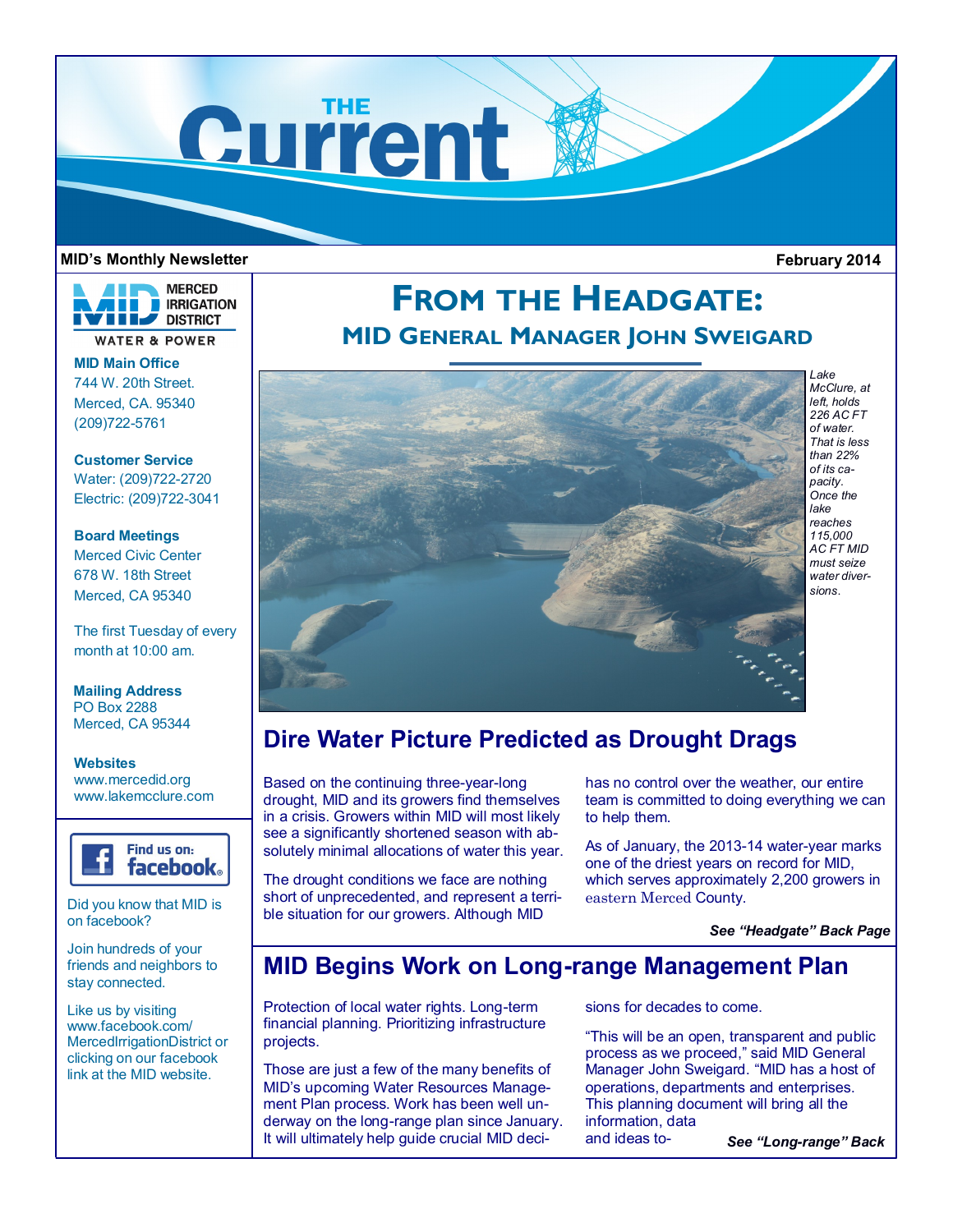

### **MID's Monthly Newsletter February 2014**



**MID Main Office** 744 W. 20th Street. Merced, CA. 95340 (209)722-5761

**Customer Service** Water: (209)722-2720 Electric: (209)722-3041

**Board Meetings** Merced Civic Center 678 W. 18th Street Merced, CA 95340

The first Tuesday of every month at 10:00 am.

**Mailing Address** PO Box 2288 Merced, CA 95344

**Websites** www.mercedid.org www.lakemcclure.com



Did you know that MID is on facebook?

Join hundreds of your friends and neighbors to stay connected.

Like us by visiting www.facebook.com/ MercedIrrigationDistrict or clicking on our facebook link at the MID website.

# **FROM THE HEADGATE: MID GENERAL MANAGER JOHN SWEIGARD**



*Lake McClure, at left, holds 226 AC FT of water. That is less than 22% of its capacity. Once the lake reaches 115,000 AC FT MID must seize water diversions*.

## **Dire Water Picture Predicted as Drought Drags**

Based on the continuing three-year-long drought, MID and its growers find themselves in a crisis. Growers within MID will most likely see a significantly shortened season with absolutely minimal allocations of water this year.

The drought conditions we face are nothing short of unprecedented, and represent a terrible situation for our growers. Although MID

has no control over the weather, our entire team is committed to doing everything we can to help them.

As of January, the 2013-14 water-year marks one of the driest years on record for MID, which serves approximately 2,200 growers in eastern Merced County.

*See "Headgate" Back Page*

### **MID Begins Work on Long-range Management Plan**

Protection of local water rights. Long-term financial planning. Prioritizing infrastructure projects.

Those are just a few of the many benefits of MID's upcoming Water Resources Management Plan process. Work has been well underway on the long-range plan since January. It will ultimately help guide crucial MID decisions for decades to come.

"This will be an open, transparent and public process as we proceed," said MID General Manager John Sweigard. "MID has a host of operations, departments and enterprises. This planning document will bring all the information, data and ideas to-*See "Long-range" Back*